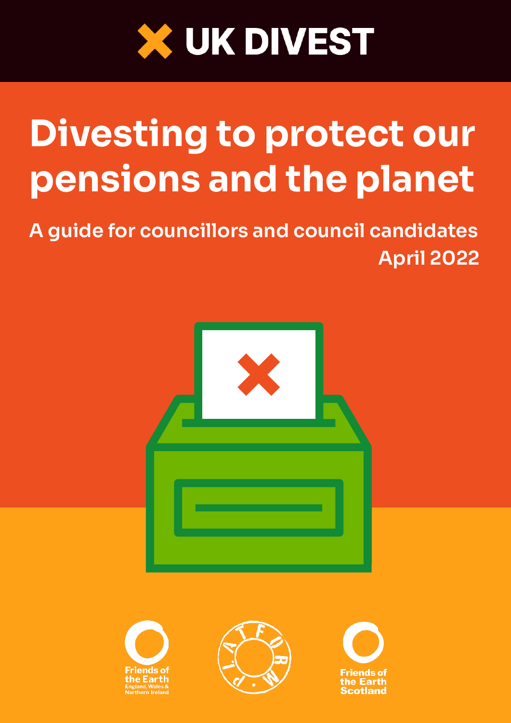

# Divesting to protect our pensions and the planet

A guide for councillors and council candidates April 2022







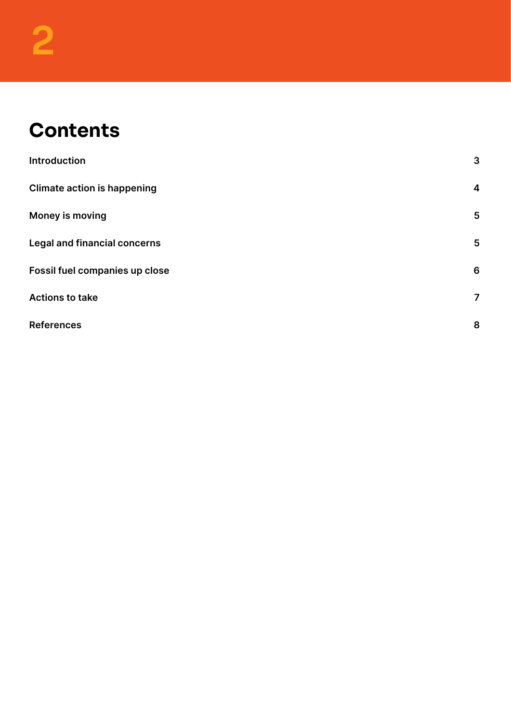#### **Contents**

| <b>Introduction</b>                 | 3              |
|-------------------------------------|----------------|
| <b>Climate action is happening</b>  | 4              |
| Money is moving                     | 5              |
| <b>Legal and financial concerns</b> | 5              |
| Fossil fuel companies up close      | 6              |
| <b>Actions to take</b>              | $\overline{7}$ |
| <b>References</b>                   | 8              |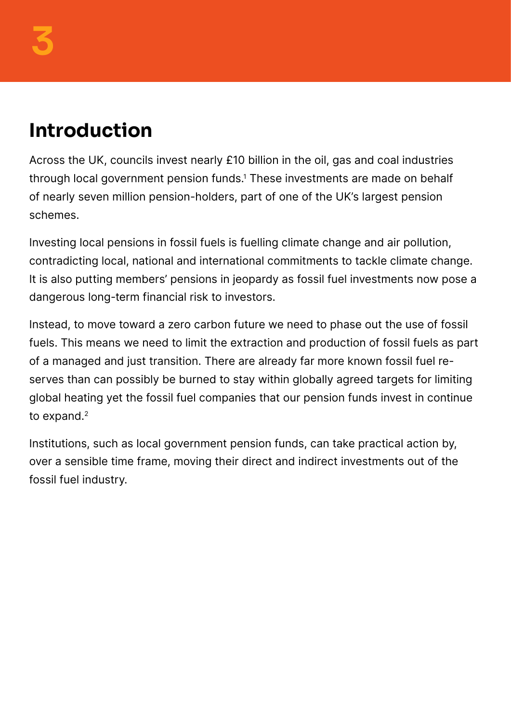### <span id="page-2-0"></span>Introduction

Across the UK, councils invest nearly £10 billion in the oil, gas and coal industries through local government pension funds.<sup>1</sup> These investments are made on behalf of nearly seven million pension-holders, part of one of the UK's largest pension schemes.

Investing local pensions in fossil fuels is fuelling climate change and air pollution, contradicting local, national and international commitments to tackle climate change. It is also putting members' pensions in jeopardy as fossil fuel investments now pose a dangerous long-term financial risk to investors.

Instead, to move toward a zero carbon future we need to phase out the use of fossil fuels. This means we need to limit the extraction and production of fossil fuels as part of a managed and just transition. There are already far more known fossil fuel reserves than can possibly be burned to stay within globally agreed targets for limiting global heating yet the fossil fuel companies that our pension funds invest in continue to expand.<sup>2</sup>

Institutions, such as local government pension funds, can take practical action by, over a sensible time frame, moving their direct and indirect investments out of the fossil fuel industry.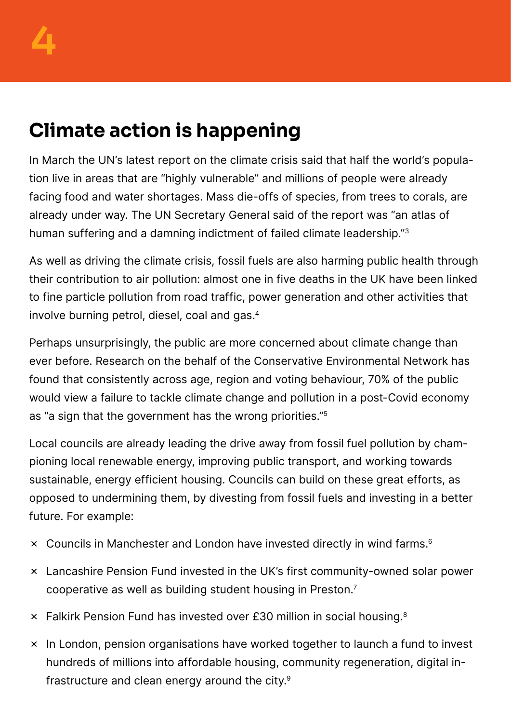## <span id="page-3-0"></span>Climate action is happening

In March the UN's latest report on the climate crisis said that half the world's population live in areas that are "highly vulnerable" and millions of people were already facing food and water shortages. Mass die-offs of species, from trees to corals, are already under way. The UN Secretary General said of the report was "an atlas of human suffering and a damning indictment of failed climate leadership."3

As well as driving the climate crisis, fossil fuels are also harming public health through their contribution to air pollution: almost one in five deaths in the UK have been linked to fine particle pollution from road traffic, power generation and other activities that involve burning petrol, diesel, coal and gas.4

Perhaps unsurprisingly, the public are more concerned about climate change than ever before. Research on the behalf of the Conservative Environmental Network has found that consistently across age, region and voting behaviour, 70% of the public would view a failure to tackle climate change and pollution in a post-Covid economy as "a sign that the government has the wrong priorities."5

Local councils are already leading the drive away from fossil fuel pollution by championing local renewable energy, improving public transport, and working towards sustainable, energy efficient housing. Councils can build on these great efforts, as opposed to undermining them, by divesting from fossil fuels and investing in a better future. For example:

- ✗ Councils in Manchester and London have invested directly in wind farms.6
- ✗ Lancashire Pension Fund invested in the UK's first community-owned solar power cooperative as well as building student housing in Preston.7
- ✗ Falkirk Pension Fund has invested over £30 million in social housing.8
- ✗ In London, pension organisations have worked together to launch a fund to invest hundreds of millions into affordable housing, community regeneration, digital infrastructure and clean energy around the city.9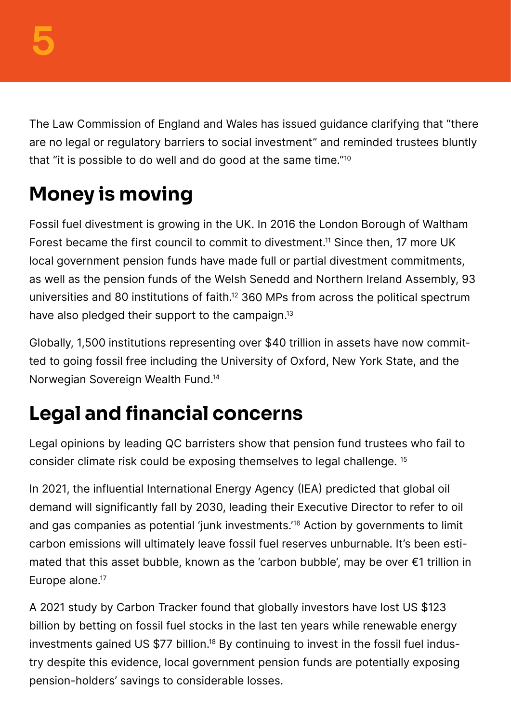<span id="page-4-0"></span>The Law Commission of England and Wales has issued guidance clarifying that "there are no legal or regulatory barriers to social investment" and reminded trustees bluntly that "it is possible to do well and do good at the same time."10

## Money is moving

Fossil fuel divestment is growing in the UK. In 2016 the London Borough of Waltham Forest became the first council to commit to divestment.<sup>11</sup> Since then, 17 more UK local government pension funds have made full or partial divestment commitments, as well as the pension funds of the Welsh Senedd and Northern Ireland Assembly, 93 universities and 80 institutions of faith.12 360 MPs from across the political spectrum have also pledged their support to the campaign.<sup>13</sup>

Globally, 1,500 institutions representing over \$40 trillion in assets have now committed to going fossil free including the University of Oxford, New York State, and the Norwegian Sovereign Wealth Fund.14

### Legal and financial concerns

Legal opinions by leading QC barristers show that pension fund trustees who fail to consider climate risk could be exposing themselves to legal challenge. 15

In 2021, the influential International Energy Agency (IEA) predicted that global oil demand will significantly fall by 2030, leading their Executive Director to refer to oil and gas companies as potential 'junk investments.'16 Action by governments to limit carbon emissions will ultimately leave fossil fuel reserves unburnable. It's been estimated that this asset bubble, known as the 'carbon bubble', may be over €1 trillion in Europe alone.<sup>17</sup>

A 2021 study by Carbon Tracker found that globally investors have lost US \$123 billion by betting on fossil fuel stocks in the last ten years while renewable energy investments gained US \$77 billion.<sup>18</sup> By continuing to invest in the fossil fuel industry despite this evidence, local government pension funds are potentially exposing pension-holders' savings to considerable losses.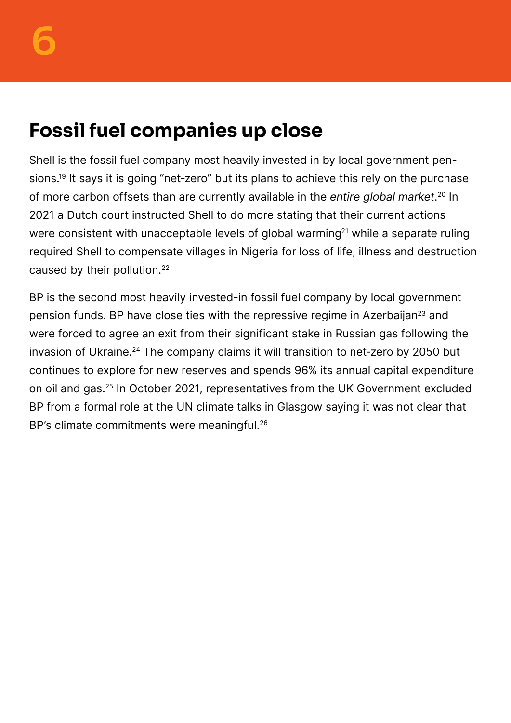#### <span id="page-5-0"></span>Fossil fuel companies up close

Shell is the fossil fuel company most heavily invested in by local government pensions.<sup>19</sup> It says it is going "net-zero" but its plans to achieve this rely on the purchase of more carbon offsets than are currently available in the entire global market.<sup>20</sup> In 2021 a Dutch court instructed Shell to do more stating that their current actions were consistent with unacceptable levels of global warming<sup>21</sup> while a separate ruling required Shell to compensate villages in Nigeria for loss of life, illness and destruction caused by their pollution.22

BP is the second most heavily invested-in fossil fuel company by local government pension funds. BP have close ties with the repressive regime in Azerbaijan<sup>23</sup> and were forced to agree an exit from their significant stake in Russian gas following the invasion of Ukraine.<sup>24</sup> The company claims it will transition to net-zero by 2050 but continues to explore for new reserves and spends 96% its annual capital expenditure on oil and gas.25 In October 2021, representatives from the UK Government excluded BP from a formal role at the UN climate talks in Glasgow saying it was not clear that BP's climate commitments were meaningful.<sup>26</sup>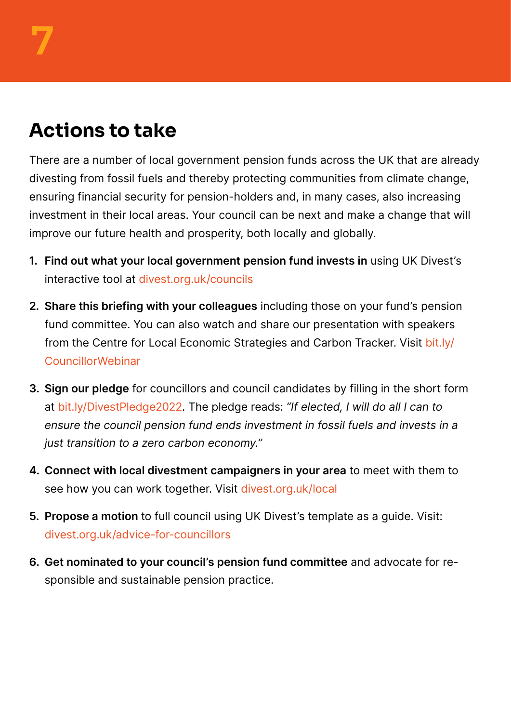#### <span id="page-6-0"></span>Actions to take

There are a number of local government pension funds across the UK that are already divesting from fossil fuels and thereby protecting communities from climate change, ensuring financial security for pension-holders and, in many cases, also increasing investment in their local areas. Your council can be next and make a change that will improve our future health and prosperity, both locally and globally.

- 1. Find out what your local government pension fund invests in using UK Divest's interactive tool at [divest.org.uk/councils](http://divest.org.uk/councils)
- 2. Share this briefing with your colleagues including those on your fund's pension fund committee. You can also watch and share our presentation with speakers from the Centre for Local Economic Strategies and Carbon Tracker. Visit [bit.ly/](http://bit.ly/CouncillorWebinar) [CouncillorWebinar](http://bit.ly/CouncillorWebinar)
- 3. Sign our pledge for councillors and council candidates by filling in the short form at [bit.ly/DivestPledge2022](http://bit.ly/DivestPledge2022). The pledge reads: "If elected, I will do all I can to ensure the council pension fund ends investment in fossil fuels and invests in a just transition to a zero carbon economy."
- 4. Connect with local divestment campaigners in your area to meet with them to see how you can work together. Visit [divest.org.uk/local](http://divest.org.uk/local)
- 5. Propose a motion to full council using UK Divest's template as a guide. Visit: [divest.org.uk/advice-for-councillors](http://divest.org.uk/advice-for-councillors)
- 6. Get nominated to your council's pension fund committee and advocate for responsible and sustainable pension practice.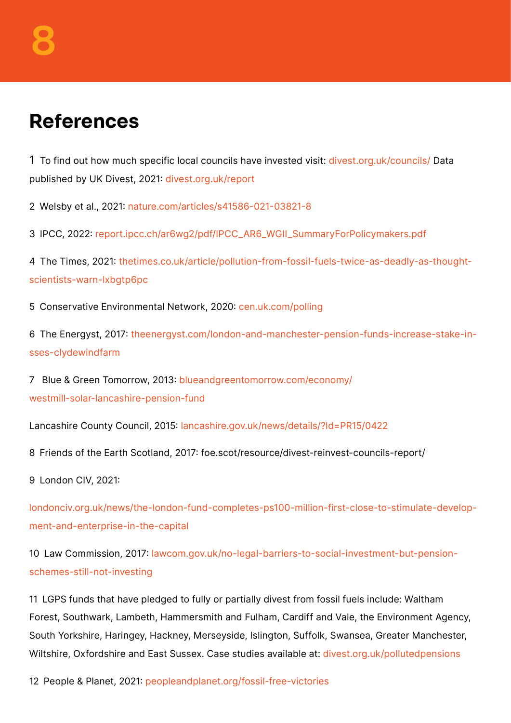#### <span id="page-7-0"></span>References

1 To find out how much specific local councils have invested visit: [divest.org.uk/councils/](http://divest.org.uk/councils/) Data published by UK Divest, 2021: [divest.org.uk/report](http://divest.org.uk/report)

2 Welsby et al., 2021: [nature.com/articles/s41586-021-03821-8](http://nature.com/articles/s41586-021-03821-8)

3 IPCC, 2022: [report.ipcc.ch/ar6wg2/pdf/IPCC\\_AR6\\_WGII\\_SummaryForPolicymakers.pdf](http://report.ipcc.ch/ar6wg2/pdf/IPCC_AR6_WGII_SummaryForPolicymakers.pdf)

4 The Times, 2021: [thetimes.co.uk/article/pollution-from-fossil-fuels-twice-as-deadly-as-thought](http://thetimes.co.uk/article/pollution-from-fossil-fuels-twice-as-deadly-as-thought-scientists-warn-lxbgtp6pc)[scientists-warn-lxbgtp6pc](http://thetimes.co.uk/article/pollution-from-fossil-fuels-twice-as-deadly-as-thought-scientists-warn-lxbgtp6pc)

5 Conservative Environmental Network, 2020: [cen.uk.com/polling](http://cen.uk.com/polling)

6 The Energyst, 2017: [theenergyst.com/london-and-manchester-pension-funds-increase-stake-in](http://theenergyst.com/london-and-manchester-pension-funds-increase-stake-in-sses-clydewindfarm)[sses-clydewindfarm](http://theenergyst.com/london-and-manchester-pension-funds-increase-stake-in-sses-clydewindfarm)

7 Blue & Green Tomorrow, 2013: [blueandgreentomorrow.com/economy/](http://blueandgreentomorrow.com/economy/westmill-solar-lancashire-pension-fund) [westmill-solar-lancashire-pension-fund](http://blueandgreentomorrow.com/economy/westmill-solar-lancashire-pension-fund)

Lancashire County Council, 2015: [lancashire.gov.uk/news/details/?Id=PR15/0422](http://lancashire.gov.uk/news/details/?Id=PR15/0422)

8 Friends of the Earth Scotland, 2017: foe.scot/resource/divest-reinvest-councils-report/

9 London CIV, 2021:

[londonciv.org.uk/news/the-london-fund-completes-ps100-million-first-close-to-stimulate-develop](http://londonciv.org.uk/news/the-london-fund-completes-ps100-million-first-close-to-stimulate-development-and-enterprise-in-the-capital)[ment-and-enterprise-in-the-capital](http://londonciv.org.uk/news/the-london-fund-completes-ps100-million-first-close-to-stimulate-development-and-enterprise-in-the-capital)

10 Law Commission, 2017: [lawcom.gov.uk/no-legal-barriers-to-social-investment-but-pension](http://lawcom.gov.uk/no-legal-barriers-to-social-investment-but-pension-schemes-still-not-investing)[schemes-still-not-investing](http://lawcom.gov.uk/no-legal-barriers-to-social-investment-but-pension-schemes-still-not-investing)

11 LGPS funds that have pledged to fully or partially divest from fossil fuels include: Waltham Forest, Southwark, Lambeth, Hammersmith and Fulham, Cardiff and Vale, the Environment Agency, South Yorkshire, Haringey, Hackney, Merseyside, Islington, Suffolk, Swansea, Greater Manchester, Wiltshire, Oxfordshire and East Sussex. Case studies available at: [divest.org.uk/pollutedpensions](http://divest.org.uk/pollutedpensions)

12 People & Planet, 2021: [peopleandplanet.org/fossil-free-victories](http://peopleandplanet.org/fossil-free-victories)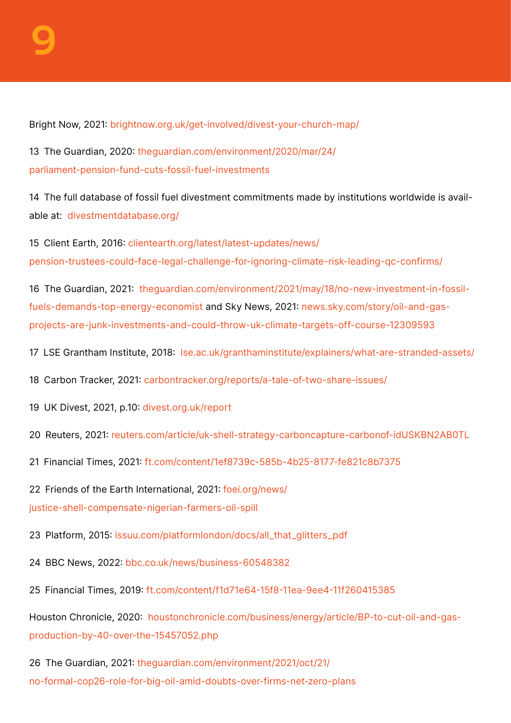Bright Now, 2021: [brightnow.org.uk/get-involved/divest-your-church-map/](http://brightnow.org.uk/get-involved/divest-your-church-map/)

13 The Guardian, 2020: [theguardian.com/environment/2020/mar/24/](http://theguardian.com/environment/2020/mar/24/parliament-pension-fund-cuts-fossil-fuel-investments) [parliament-pension-fund-cuts-fossil-fuel-investments](http://theguardian.com/environment/2020/mar/24/parliament-pension-fund-cuts-fossil-fuel-investments)

14 The full database of fossil fuel divestment commitments made by institutions worldwide is available at: [divestmentdatabase.org/](http://divestmentdatabase.org/)

15 Client Earth, 2016: [clientearth.org/latest/latest-updates/news/](http://clientearth.org/latest/latest-updates/news/pension-trustees-could-face-legal-challenge-for-ignoring-climate-risk-leading-qc-confirms/) [pension-trustees-could-face-legal-challenge-for-ignoring-climate-risk-leading-qc-confirms/](http://clientearth.org/latest/latest-updates/news/pension-trustees-could-face-legal-challenge-for-ignoring-climate-risk-leading-qc-confirms/)

16 The Guardian, 2021: [theguardian.com/environment/2021/may/18/no-new-investment-in-fossil](http://theguardian.com/environment/2021/may/18/no-new-investment-in-fossil-fuels-demands-top-energy-economist)[fuels-demands-top-energy-economist](http://theguardian.com/environment/2021/may/18/no-new-investment-in-fossil-fuels-demands-top-energy-economist) and Sky News, 2021: [news.sky.com/story/oil-and-gas](http://news.sky.com/story/oil-and-gas-projects-are-junk-investments-and-could-throw-uk-climate-targets-off-course-12309593)[projects-are-junk-investments-and-could-throw-uk-climate-targets-off-course-12309593](http://news.sky.com/story/oil-and-gas-projects-are-junk-investments-and-could-throw-uk-climate-targets-off-course-12309593)

17 LSE Grantham Institute, 2018: [lse.ac.uk/granthaminstitute/explainers/what-are-stranded-assets/](http://lse.ac.uk/granthaminstitute/explainers/what-are-stranded-assets/)

18 Carbon Tracker, 2021: [carbontracker.org/reports/a-tale-of-two-share-issues/](http://carbontracker.org/reports/a-tale-of-two-share-issues/)

19 UK Divest, 2021, p.10: [divest.org.uk/report](http://divest.org.uk/report)

20 Reuters, 2021: [reuters.com/article/uk-shell-strategy-carboncapture-carbonof-idUSKBN2AB0TL](http://reuters.com/article/uk-shell-strategy-carboncapture-carbonof-idUSKBN2AB0TL)

21 Financial Times, 2021: [ft.com/content/1ef8739c-585b-4b25-8177-fe821c8b7375](http://ft.com/content/1ef8739c-585b-4b25-8177-fe821c8b7375)

22 Friends of the Earth International, 2021: [foei.org/news/](http://foei.org/news/justice-shell-compensate-nigerian-farmers-oil-spill) [justice-shell-compensate-nigerian-farmers-oil-spill](http://foei.org/news/justice-shell-compensate-nigerian-farmers-oil-spill)

23 Platform, 2015: [issuu.com/platformlondon/docs/all\\_that\\_glitters\\_pdf](http://issuu.com/platformlondon/docs/all_that_glitters_pdf)

- 24 BBC News, 2022: [bbc.co.uk/news/business-60548382](http://bbc.co.uk/news/business-60548382)
- 25 Financial Times, 2019: [ft.com/content/f1d71e64-15f8-11ea-9ee4-11f260415385](http://ft.com/content/f1d71e64-15f8-11ea-9ee4-11f260415385)

Houston Chronicle, 2020: [houstonchronicle.com/business/energy/article/BP-to-cut-oil-and-gas](http://houstonchronicle.com/business/energy/article/BP-to-cut-oil-and-gas-production-by-40-over-the-15457052.php)[production-by-40-over-the-15457052.php](http://houstonchronicle.com/business/energy/article/BP-to-cut-oil-and-gas-production-by-40-over-the-15457052.php)

26 The Guardian, 2021: [theguardian.com/environment/2021/oct/21/](http://theguardian.com/environment/2021/oct/21/no-formal-cop26-role-for-big-oil-amid-doubts-over-firms-net-zero-plans) [no-formal-cop26-role-for-big-oil-amid-doubts-over-firms-net-zero-plans](http://theguardian.com/environment/2021/oct/21/no-formal-cop26-role-for-big-oil-amid-doubts-over-firms-net-zero-plans)